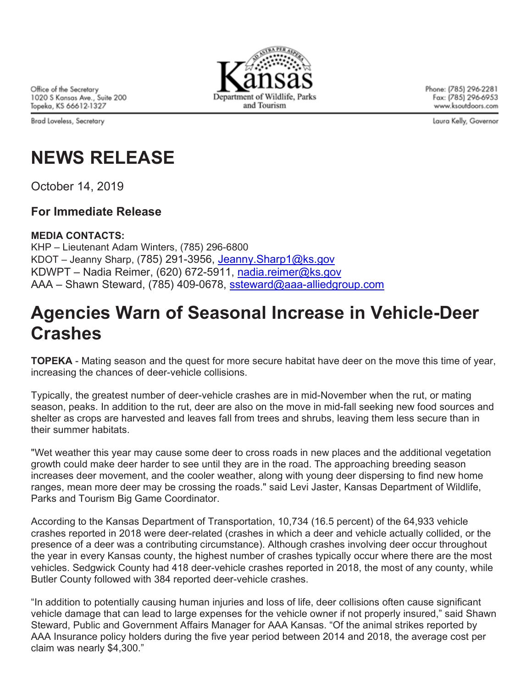Office of the Secretary 1020 S Kansas Ave., Suite 200 Topeka, KS 66612-1327

Brad Loveless, Secretary



Phone: (785) 296-2281 Fax: (785) 296-6953 www.ksoutdoors.com

Laura Kelly, Governor

## **NEWS RELEASE**

October 14, 2019

### **For Immediate Release**

#### **MEDIA CONTACTS:**

KHP – Lieutenant Adam Winters, (785) 296-6800 KDOT – Jeanny Sharp, (785) 291-3956, Jeanny.Sharp1@ks.gov KDWPT – Nadia Reimer, (620) 672-5911, nadia.reimer@ks.gov AAA – Shawn Steward, (785) 409-0678, ssteward@aaa-alliedgroup.com

## **Agencies Warn of Seasonal Increase in Vehicle-Deer Crashes**

**TOPEKA** - Mating season and the quest for more secure habitat have deer on the move this time of year, increasing the chances of deer-vehicle collisions.

Typically, the greatest number of deer-vehicle crashes are in mid-November when the rut, or mating season, peaks. In addition to the rut, deer are also on the move in mid-fall seeking new food sources and shelter as crops are harvested and leaves fall from trees and shrubs, leaving them less secure than in their summer habitats.

"Wet weather this year may cause some deer to cross roads in new places and the additional vegetation growth could make deer harder to see until they are in the road. The approaching breeding season increases deer movement, and the cooler weather, along with young deer dispersing to find new home ranges, mean more deer may be crossing the roads." said Levi Jaster, Kansas Department of Wildlife, Parks and Tourism Big Game Coordinator.

According to the Kansas Department of Transportation, 10,734 (16.5 percent) of the 64,933 vehicle crashes reported in 2018 were deer-related (crashes in which a deer and vehicle actually collided, or the presence of a deer was a contributing circumstance). Although crashes involving deer occur throughout the year in every Kansas county, the highest number of crashes typically occur where there are the most vehicles. Sedgwick County had 418 deer-vehicle crashes reported in 2018, the most of any county, while Butler County followed with 384 reported deer-vehicle crashes.

"In addition to potentially causing human injuries and loss of life, deer collisions often cause significant vehicle damage that can lead to large expenses for the vehicle owner if not properly insured," said Shawn Steward, Public and Government Affairs Manager for AAA Kansas. "Of the animal strikes reported by AAA Insurance policy holders during the five year period between 2014 and 2018, the average cost per claim was nearly \$4,300."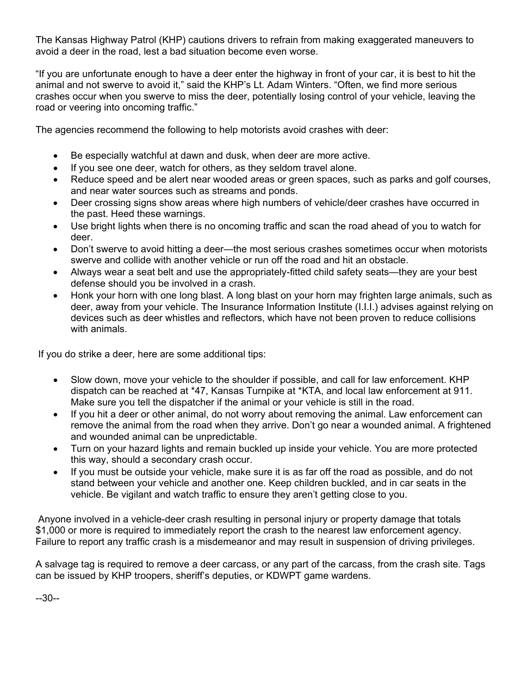The Kansas Highway Patrol (KHP) cautions drivers to refrain from making exaggerated maneuvers to avoid a deer in the road, lest a bad situation become even worse.

"If you are unfortunate enough to have a deer enter the highway in front of your car, it is best to hit the animal and not swerve to avoid it," said the KHP's Lt. Adam Winters. "Often, we find more serious crashes occur when you swerve to miss the deer, potentially losing control of your vehicle, leaving the road or veering into oncoming traffic."

The agencies recommend the following to help motorists avoid crashes with deer:

- Be especially watchful at dawn and dusk, when deer are more active.
- If you see one deer, watch for others, as they seldom travel alone.
- Reduce speed and be alert near wooded areas or green spaces, such as parks and golf courses, and near water sources such as streams and ponds.
- Deer crossing signs show areas where high numbers of vehicle/deer crashes have occurred in the past. Heed these warnings.
- Use bright lights when there is no oncoming traffic and scan the road ahead of you to watch for deer.
- Don't swerve to avoid hitting a deer—the most serious crashes sometimes occur when motorists swerve and collide with another vehicle or run off the road and hit an obstacle.
- Always wear a seat belt and use the appropriately-fitted child safety seats—they are your best defense should you be involved in a crash.
- Honk your horn with one long blast. A long blast on your horn may frighten large animals, such as deer, away from your vehicle. The Insurance Information Institute (I.I.I.) advises against relying on devices such as deer whistles and reflectors, which have not been proven to reduce collisions with animals.

If you do strike a deer, here are some additional tips:

- Slow down, move your vehicle to the shoulder if possible, and call for law enforcement. KHP dispatch can be reached at \*47, Kansas Turnpike at \*KTA, and local law enforcement at 911. Make sure you tell the dispatcher if the animal or your vehicle is still in the road.
- If you hit a deer or other animal, do not worry about removing the animal. Law enforcement can remove the animal from the road when they arrive. Don't go near a wounded animal. A frightened and wounded animal can be unpredictable.
- Turn on your hazard lights and remain buckled up inside your vehicle. You are more protected this way, should a secondary crash occur.
- If you must be outside your vehicle, make sure it is as far off the road as possible, and do not stand between your vehicle and another one. Keep children buckled, and in car seats in the vehicle. Be vigilant and watch traffic to ensure they aren't getting close to you.

Anyone involved in a vehicle-deer crash resulting in personal injury or property damage that totals \$1,000 or more is required to immediately report the crash to the nearest law enforcement agency. Failure to report any traffic crash is a misdemeanor and may result in suspension of driving privileges.

A salvage tag is required to remove a deer carcass, or any part of the carcass, from the crash site. Tags can be issued by KHP troopers, sheriff's deputies, or KDWPT game wardens.

--30--